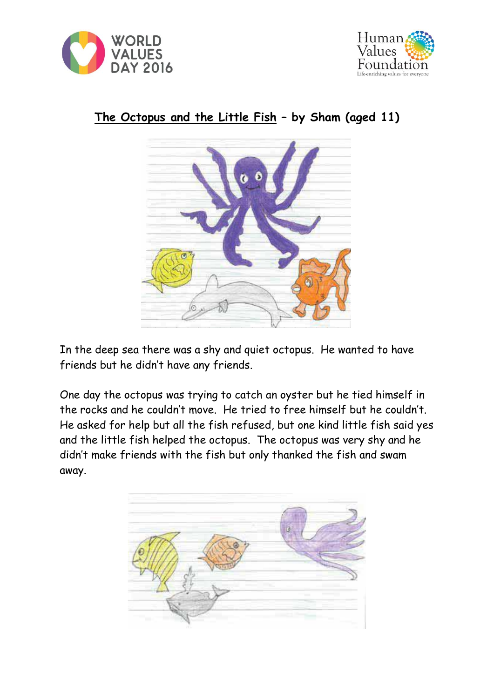





## **The Octopus and the Little Fish – by Sham (aged 11)**

In the deep sea there was a shy and quiet octopus. He wanted to have friends but he didn't have any friends.

One day the octopus was trying to catch an oyster but he tied himself in the rocks and he couldn't move. He tried to free himself but he couldn't. He asked for help but all the fish refused, but one kind little fish said yes and the little fish helped the octopus. The octopus was very shy and he didn't make friends with the fish but only thanked the fish and swam away.